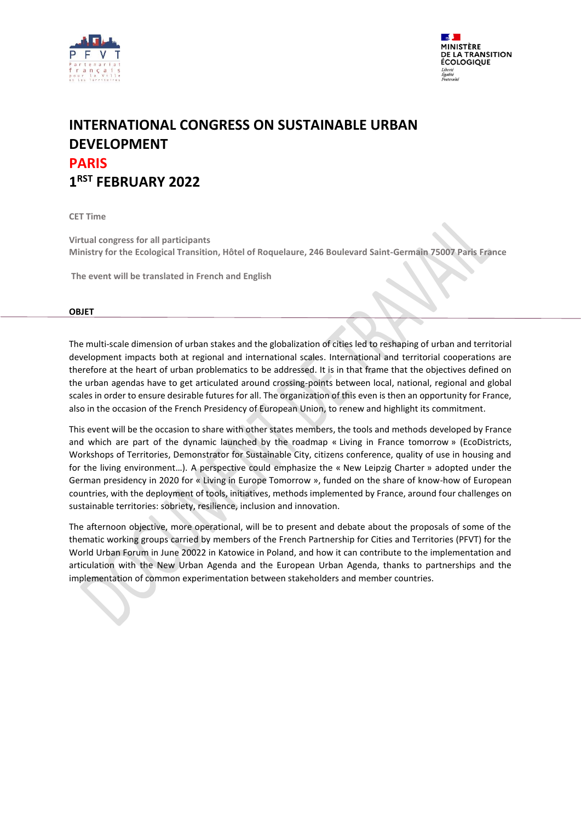



# **INTERNATIONAL CONGRESS ON SUSTAINABLE URBAN DEVELOPMENT PARIS 1 RST FEBRUARY 2022**

**CET Time**

**Virtual congress for all participants Ministry for the Ecological Transition, Hôtel of Roquelaure, 246 Boulevard Saint-Germain 75007 Paris France**

**The event will be translated in French and English**

#### **OBJET**

The multi-scale dimension of urban stakes and the globalization of cities led to reshaping of urban and territorial development impacts both at regional and international scales. International and territorial cooperations are therefore at the heart of urban problematics to be addressed. It is in that frame that the objectives defined on the urban agendas have to get articulated around crossing-points between local, national, regional and global scales in order to ensure desirable futures for all. The organization of this even is then an opportunity for France, also in the occasion of the French Presidency of European Union, to renew and highlight its commitment.

This event will be the occasion to share with other states members, the tools and methods developed by France and which are part of the dynamic launched by the roadmap « Living in France tomorrow » (EcoDistricts, Workshops of Territories, Demonstrator for Sustainable City, citizens conference, quality of use in housing and for the living environment…). A perspective could emphasize the « New Leipzig Charter » adopted under the German presidency in 2020 for « Living in Europe Tomorrow », funded on the share of know-how of European countries, with the deployment of tools, initiatives, methods implemented by France, around four challenges on sustainable territories: sobriety, resilience, inclusion and innovation.

The afternoon objective, more operational, will be to present and debate about the proposals of some of the thematic working groups carried by members of the French Partnership for Cities and Territories (PFVT) for the World Urban Forum in June 20022 in Katowice in Poland, and how it can contribute to the implementation and articulation with the New Urban Agenda and the European Urban Agenda, thanks to partnerships and the implementation of common experimentation between stakeholders and member countries.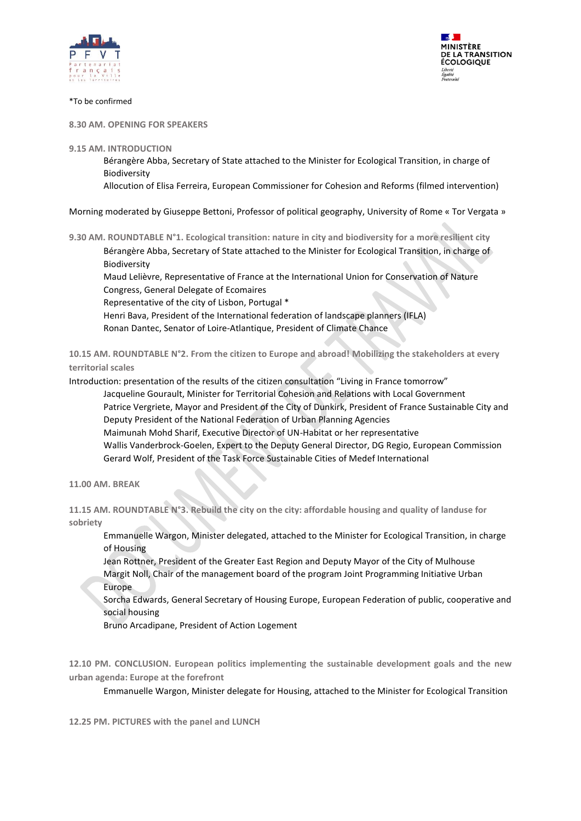



#### \*To be confirmed

**8.30 AM. OPENING FOR SPEAKERS**

#### **9.15 AM. INTRODUCTION**

Bérangère Abba, Secretary of State attached to the Minister for Ecological Transition, in charge of Biodiversity

Allocution of Elisa Ferreira, European Commissioner for Cohesion and Reforms (filmed intervention)

Morning moderated by Giuseppe Bettoni, Professor of political geography, University of Rome « Tor Vergata »

**9.30 AM. ROUNDTABLE N°1. Ecological transition: nature in city and biodiversity for a more resilient city** 

Bérangère Abba, Secretary of State attached to the Minister for Ecological Transition, in charge of Biodiversity

Maud Lelièvre, Representative of France at the International Union for Conservation of Nature Congress, General Delegate of Ecomaires

Representative of the city of Lisbon, Portugal \*

Henri Bava, President of the International federation of landscape planners (IFLA) Ronan Dantec, Senator of Loire-Atlantique, President of Climate Chance

**10.15 AM. ROUNDTABLE N°2. From the citizen to Europe and abroad! Mobilizing the stakeholders at every territorial scales**

Introduction: presentation of the results of the citizen consultation "Living in France tomorrow"

Jacqueline Gourault, Minister for Territorial Cohesion and Relations with Local Government Patrice Vergriete, Mayor and President of the City of Dunkirk, President of France Sustainable City and Deputy President of the National Federation of Urban Planning Agencies Maimunah Mohd Sharif, Executive Director of UN-Habitat or her representative Wallis Vanderbrock-Goelen, Expert to the Deputy General Director, DG Regio, European Commission

Gerard Wolf, President of the Task Force Sustainable Cities of Medef International

**11.00 AM. BREAK**

**11.15 AM. ROUNDTABLE N°3. Rebuild the city on the city: affordable housing and quality of landuse for sobriety**

Emmanuelle Wargon, Minister delegated, attached to the Minister for Ecological Transition, in charge of Housing

Jean Rottner, President of the Greater East Region and Deputy Mayor of the City of Mulhouse Margit Noll, Chair of the management board of the program Joint Programming Initiative Urban Europe

Sorcha Edwards, General Secretary of Housing Europe, European Federation of public, cooperative and social housing

Bruno Arcadipane, President of Action Logement

**12.10 PM. CONCLUSION. European politics implementing the sustainable development goals and the new urban agenda: Europe at the forefront**

Emmanuelle Wargon, Minister delegate for Housing, attached to the Minister for Ecological Transition

**12.25 PM. PICTURES with the panel and LUNCH**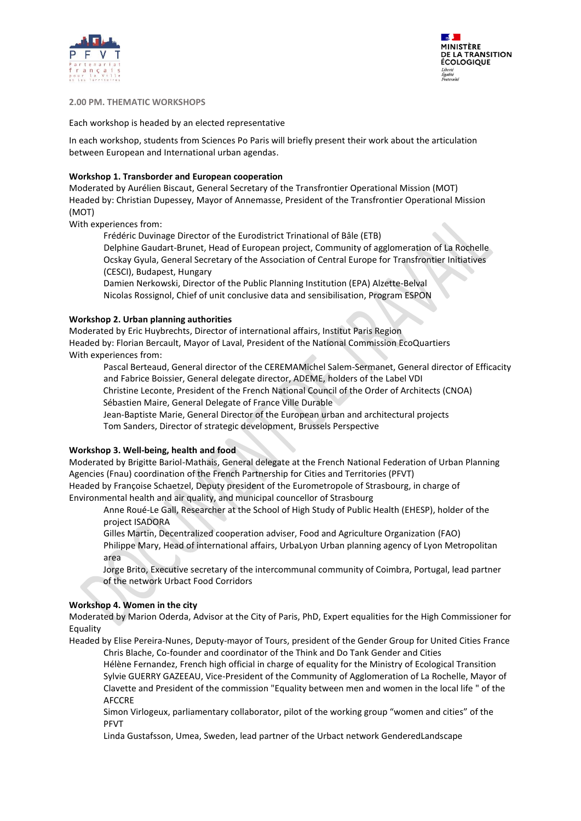



## **2.00 PM. THEMATIC WORKSHOPS**

Each workshop is headed by an elected representative

In each workshop, students from Sciences Po Paris will briefly present their work about the articulation between European and International urban agendas.

## **Workshop 1. Transborder and European cooperation**

Moderated by Aurélien Biscaut, General Secretary of the Transfrontier Operational Mission (MOT) Headed by: Christian Dupessey, Mayor of Annemasse, President of the Transfrontier Operational Mission (MOT)

With experiences from:

Frédéric Duvinage Director of the Eurodistrict Trinational of Bâle (ETB) Delphine Gaudart-Brunet, Head of European project, Community of agglomeration of La Rochelle Ocskay Gyula, General Secretary of the Association of Central Europe for Transfrontier Initiatives (CESCI), Budapest, Hungary

Damien Nerkowski, Director of the Public Planning Institution (EPA) Alzette-Belval Nicolas Rossignol, Chief of unit conclusive data and sensibilisation, Program ESPON

# **Workshop 2. Urban planning authorities**

Moderated by Eric Huybrechts, Director of international affairs, Institut Paris Region Headed by: Florian Bercault, Mayor of Laval, President of the National Commission EcoQuartiers With experiences from:

Pascal Berteaud, General director of the CEREMAMichel Salem-Sermanet, General director of Efficacity and Fabrice Boissier, General delegate director, ADEME, holders of the Label VDI Christine Leconte, President of the French National Council of the Order of Architects (CNOA) Sébastien Maire, General Delegate of France Ville Durable

Jean-Baptiste Marie, General Director of the European urban and architectural projects Tom Sanders, Director of strategic development, Brussels Perspective

# **Workshop 3. Well-being, health and food**

Moderated by Brigitte Bariol-Mathais, General delegate at the French National Federation of Urban Planning Agencies (Fnau) coordination of the French Partnership for Cities and Territories (PFVT) Headed by Françoise Schaetzel, Deputy president of the Eurometropole of Strasbourg, in charge of Environmental health and air quality, and municipal councellor of Strasbourg

Anne Roué-Le Gall, Researcher at the School of High Study of Public Health (EHESP), holder of the project ISADORA

Gilles Martin, Decentralized cooperation adviser, Food and Agriculture Organization (FAO)

Philippe Mary, Head of international affairs, UrbaLyon Urban planning agency of Lyon Metropolitan area

Jorge Brito, Executive secretary of the intercommunal community of Coimbra, Portugal, lead partner of the network Urbact Food Corridors

# **Workshop 4. Women in the city**

Moderated by Marion Oderda, Advisor at the City of Paris, PhD, Expert equalities for the High Commissioner for Equality

Headed by Elise Pereira-Nunes, Deputy-mayor of Tours, president of the Gender Group for United Cities France Chris Blache, Co-founder and coordinator of the Think and Do Tank Gender and Cities

Hélène Fernandez, French high official in charge of equality for the Ministry of Ecological Transition Sylvie GUERRY GAZEEAU, Vice-President of the Community of Agglomeration of La Rochelle, Mayor of Clavette and President of the commission "Equality between men and women in the local life " of the AFCCRE

Simon Virlogeux, parliamentary collaborator, pilot of the working group "women and cities" of the PFVT

Linda Gustafsson, Umea, Sweden, lead partner of the Urbact network GenderedLandscape